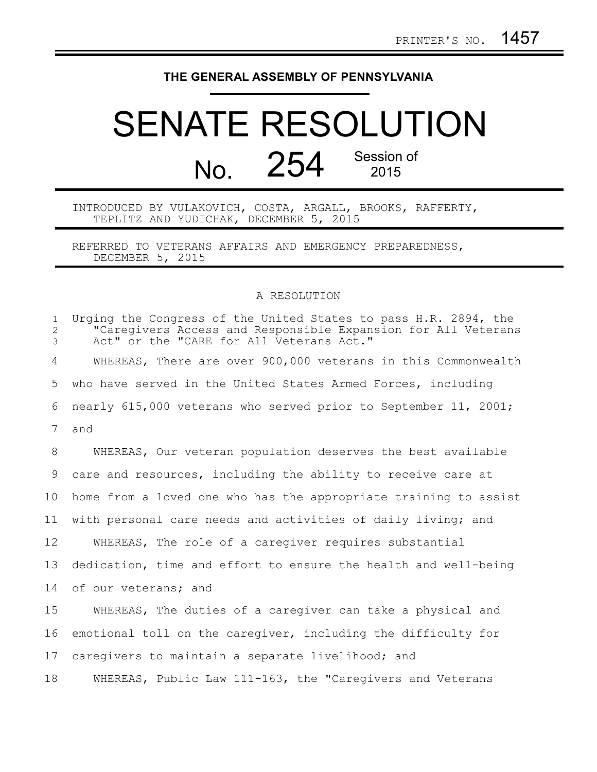## **THE GENERAL ASSEMBLY OF PENNSYLVANIA**

## SENATE RESOLUTION No. 254 Session of 2015

INTRODUCED BY VULAKOVICH, COSTA, ARGALL, BROOKS, RAFFERTY, TEPLITZ AND YUDICHAK, DECEMBER 5, 2015

REFERRED TO VETERANS AFFAIRS AND EMERGENCY PREPAREDNESS, DECEMBER 5, 2015

## A RESOLUTION

| $\mathbf{1}$<br>$\mathbf{2}$<br>3 | Urging the Congress of the United States to pass H.R. 2894, the<br>"Caregivers Access and Responsible Expansion for All Veterans<br>Act" or the "CARE for All Veterans Act." |
|-----------------------------------|------------------------------------------------------------------------------------------------------------------------------------------------------------------------------|
| 4                                 | WHEREAS, There are over 900,000 veterans in this Commonwealth                                                                                                                |
| 5                                 | who have served in the United States Armed Forces, including                                                                                                                 |
| 6                                 | nearly 615,000 veterans who served prior to September 11, 2001;                                                                                                              |
| 7                                 | and                                                                                                                                                                          |
| 8                                 | WHEREAS, Our veteran population deserves the best available                                                                                                                  |
| 9                                 | care and resources, including the ability to receive care at                                                                                                                 |
| 10                                | home from a loved one who has the appropriate training to assist                                                                                                             |
| 11                                | with personal care needs and activities of daily living; and                                                                                                                 |
| 12                                | WHEREAS, The role of a caregiver requires substantial                                                                                                                        |
| 13                                | dedication, time and effort to ensure the health and well-being                                                                                                              |
| 14                                | of our veterans; and                                                                                                                                                         |
| 15                                | WHEREAS, The duties of a caregiver can take a physical and                                                                                                                   |
| 16                                | emotional toll on the caregiver, including the difficulty for                                                                                                                |
| 17                                | caregivers to maintain a separate livelihood; and                                                                                                                            |
| 18                                | WHEREAS, Public Law 111-163, the "Caregivers and Veterans                                                                                                                    |